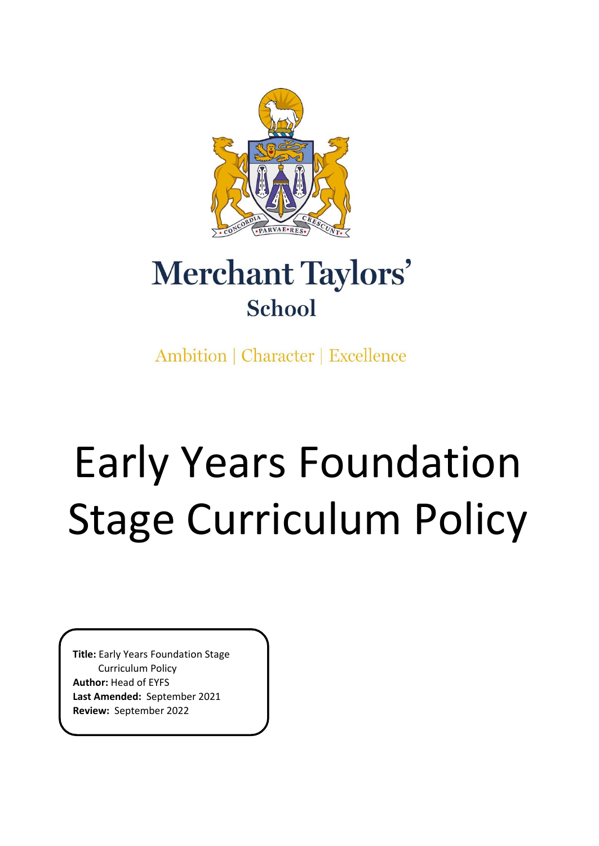

# Merchant Taylors' School

Ambition | Character | Excellence

# Early Years Foundation Stage Curriculum Policy

**Title:** Early Years Foundation Stage Curriculum Policy **Author:** Head of EYFS **Last Amended:** September 2021 **Review:** September 2022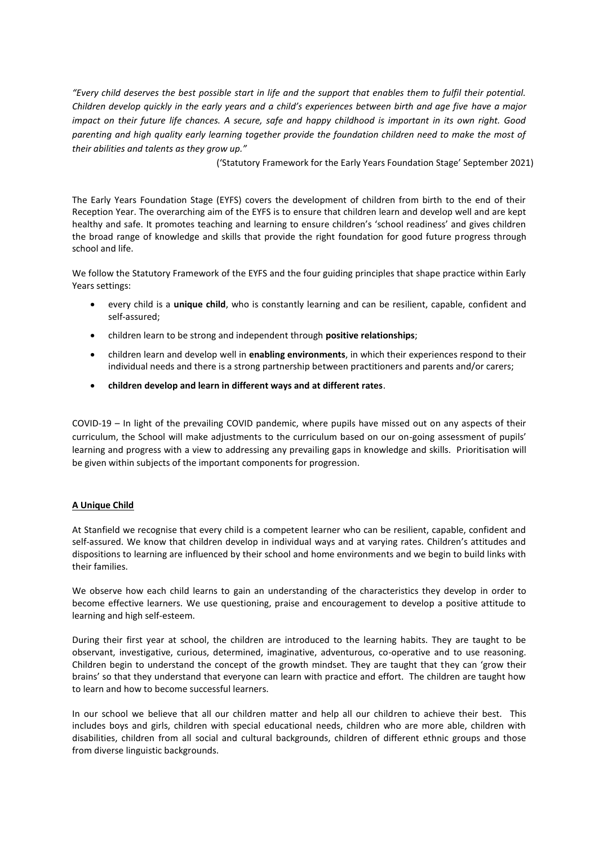*"Every child deserves the best possible start in life and the support that enables them to fulfil their potential. Children develop quickly in the early years and a child's experiences between birth and age five have a major impact on their future life chances. A secure, safe and happy childhood is important in its own right. Good parenting and high quality early learning together provide the foundation children need to make the most of their abilities and talents as they grow up."*

('Statutory Framework for the Early Years Foundation Stage' September 2021)

The Early Years Foundation Stage (EYFS) covers the development of children from birth to the end of their Reception Year. The overarching aim of the EYFS is to ensure that children learn and develop well and are kept healthy and safe. It promotes teaching and learning to ensure children's 'school readiness' and gives children the broad range of knowledge and skills that provide the right foundation for good future progress through school and life.

We follow the Statutory Framework of the EYFS and the four guiding principles that shape practice within Early Years settings:

- every child is a **unique child**, who is constantly learning and can be resilient, capable, confident and self-assured;
- children learn to be strong and independent through **positive relationships**;
- children learn and develop well in **enabling environments**, in which their experiences respond to their individual needs and there is a strong partnership between practitioners and parents and/or carers;
- **children develop and learn in different ways and at different rates**.

COVID-19 – In light of the prevailing COVID pandemic, where pupils have missed out on any aspects of their curriculum, the School will make adjustments to the curriculum based on our on-going assessment of pupils' learning and progress with a view to addressing any prevailing gaps in knowledge and skills. Prioritisation will be given within subjects of the important components for progression.

# **A Unique Child**

At Stanfield we recognise that every child is a competent learner who can be resilient, capable, confident and self-assured. We know that children develop in individual ways and at varying rates. Children's attitudes and dispositions to learning are influenced by their school and home environments and we begin to build links with their families.

We observe how each child learns to gain an understanding of the characteristics they develop in order to become effective learners. We use questioning, praise and encouragement to develop a positive attitude to learning and high self-esteem.

During their first year at school, the children are introduced to the learning habits. They are taught to be observant, investigative, curious, determined, imaginative, adventurous, co-operative and to use reasoning. Children begin to understand the concept of the growth mindset. They are taught that they can 'grow their brains' so that they understand that everyone can learn with practice and effort. The children are taught how to learn and how to become successful learners.

In our school we believe that all our children matter and help all our children to achieve their best. This includes boys and girls, children with special educational needs, children who are more able, children with disabilities, children from all social and cultural backgrounds, children of different ethnic groups and those from diverse linguistic backgrounds.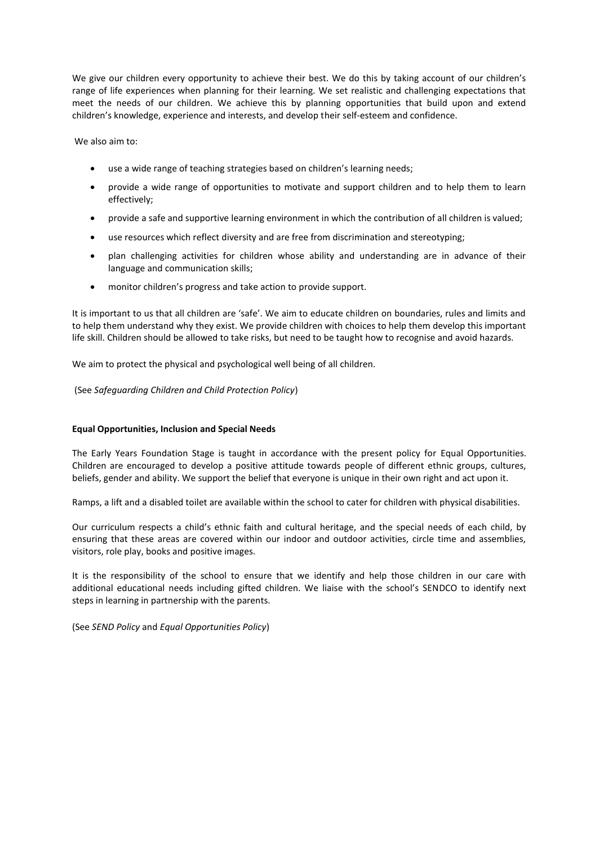We give our children every opportunity to achieve their best. We do this by taking account of our children's range of life experiences when planning for their learning. We set realistic and challenging expectations that meet the needs of our children. We achieve this by planning opportunities that build upon and extend children's knowledge, experience and interests, and develop their self-esteem and confidence.

We also aim to:

- use a wide range of teaching strategies based on children's learning needs;
- provide a wide range of opportunities to motivate and support children and to help them to learn effectively;
- provide a safe and supportive learning environment in which the contribution of all children is valued;
- use resources which reflect diversity and are free from discrimination and stereotyping;
- plan challenging activities for children whose ability and understanding are in advance of their language and communication skills;
- monitor children's progress and take action to provide support.

It is important to us that all children are 'safe'. We aim to educate children on boundaries, rules and limits and to help them understand why they exist. We provide children with choices to help them develop this important life skill. Children should be allowed to take risks, but need to be taught how to recognise and avoid hazards.

We aim to protect the physical and psychological well being of all children.

(See *Safeguarding Children and Child Protection Policy*)

#### **Equal Opportunities, Inclusion and Special Needs**

The Early Years Foundation Stage is taught in accordance with the present policy for Equal Opportunities. Children are encouraged to develop a positive attitude towards people of different ethnic groups, cultures, beliefs, gender and ability. We support the belief that everyone is unique in their own right and act upon it.

Ramps, a lift and a disabled toilet are available within the school to cater for children with physical disabilities.

Our curriculum respects a child's ethnic faith and cultural heritage, and the special needs of each child, by ensuring that these areas are covered within our indoor and outdoor activities, circle time and assemblies, visitors, role play, books and positive images.

It is the responsibility of the school to ensure that we identify and help those children in our care with additional educational needs including gifted children. We liaise with the school's SENDCO to identify next steps in learning in partnership with the parents.

(See *SEND Policy* and *Equal Opportunities Policy*)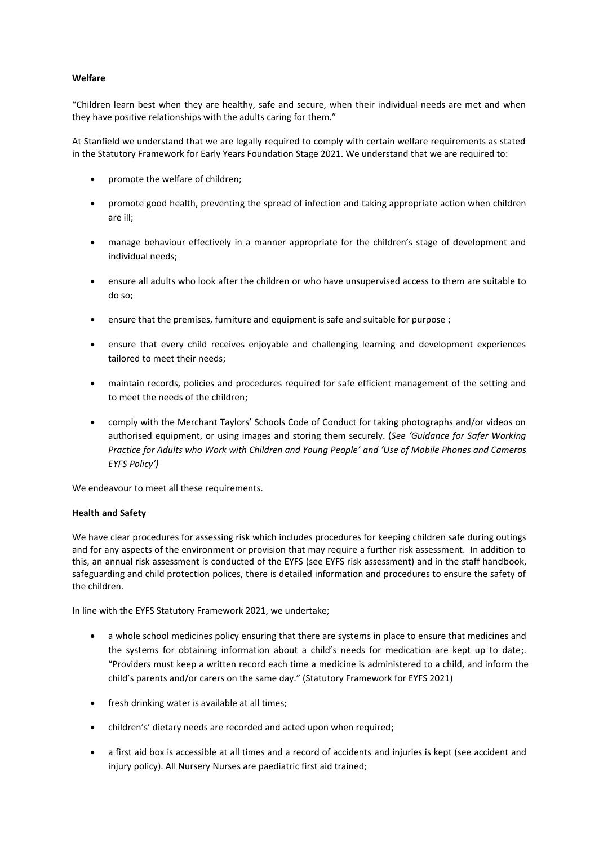# **Welfare**

"Children learn best when they are healthy, safe and secure, when their individual needs are met and when they have positive relationships with the adults caring for them."

At Stanfield we understand that we are legally required to comply with certain welfare requirements as stated in the Statutory Framework for Early Years Foundation Stage 2021. We understand that we are required to:

- promote the welfare of children;
- promote good health, preventing the spread of infection and taking appropriate action when children are ill;
- manage behaviour effectively in a manner appropriate for the children's stage of development and individual needs;
- ensure all adults who look after the children or who have unsupervised access to them are suitable to do so;
- ensure that the premises, furniture and equipment is safe and suitable for purpose ;
- ensure that every child receives enjoyable and challenging learning and development experiences tailored to meet their needs;
- maintain records, policies and procedures required for safe efficient management of the setting and to meet the needs of the children;
- comply with the Merchant Taylors' Schools Code of Conduct for taking photographs and/or videos on authorised equipment, or using images and storing them securely. (*See 'Guidance for Safer Working Practice for Adults who Work with Children and Young People' and 'Use of Mobile Phones and Cameras EYFS Policy')*

We endeavour to meet all these requirements.

# **Health and Safety**

We have clear procedures for assessing risk which includes procedures for keeping children safe during outings and for any aspects of the environment or provision that may require a further risk assessment. In addition to this, an annual risk assessment is conducted of the EYFS (see EYFS risk assessment) and in the staff handbook, safeguarding and child protection polices, there is detailed information and procedures to ensure the safety of the children.

In line with the EYFS Statutory Framework 2021, we undertake;

- a whole school medicines policy ensuring that there are systems in place to ensure that medicines and the systems for obtaining information about a child's needs for medication are kept up to date;. "Providers must keep a written record each time a medicine is administered to a child, and inform the child's parents and/or carers on the same day." (Statutory Framework for EYFS 2021)
- fresh drinking water is available at all times;
- children's' dietary needs are recorded and acted upon when required;
- a first aid box is accessible at all times and a record of accidents and injuries is kept (see accident and injury policy). All Nursery Nurses are paediatric first aid trained;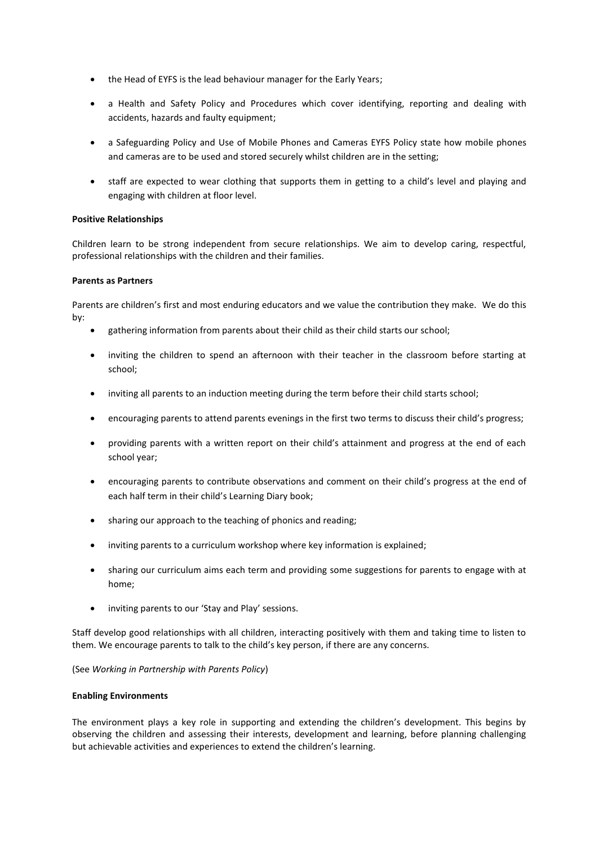- the Head of EYFS is the lead behaviour manager for the Early Years;
- a Health and Safety Policy and Procedures which cover identifying, reporting and dealing with accidents, hazards and faulty equipment;
- a Safeguarding Policy and Use of Mobile Phones and Cameras EYFS Policy state how mobile phones and cameras are to be used and stored securely whilst children are in the setting;
- staff are expected to wear clothing that supports them in getting to a child's level and playing and engaging with children at floor level.

# **Positive Relationships**

Children learn to be strong independent from secure relationships. We aim to develop caring, respectful, professional relationships with the children and their families.

#### **Parents as Partners**

Parents are children's first and most enduring educators and we value the contribution they make. We do this by:

- gathering information from parents about their child as their child starts our school;
- inviting the children to spend an afternoon with their teacher in the classroom before starting at school;
- inviting all parents to an induction meeting during the term before their child starts school;
- encouraging parents to attend parents evenings in the first two terms to discuss their child's progress;
- providing parents with a written report on their child's attainment and progress at the end of each school year;
- encouraging parents to contribute observations and comment on their child's progress at the end of each half term in their child's Learning Diary book;
- sharing our approach to the teaching of phonics and reading;
- inviting parents to a curriculum workshop where key information is explained;
- sharing our curriculum aims each term and providing some suggestions for parents to engage with at home;
- inviting parents to our 'Stay and Play' sessions.

Staff develop good relationships with all children, interacting positively with them and taking time to listen to them. We encourage parents to talk to the child's key person, if there are any concerns.

(See *Working in Partnership with Parents Policy*)

#### **Enabling Environments**

The environment plays a key role in supporting and extending the children's development. This begins by observing the children and assessing their interests, development and learning, before planning challenging but achievable activities and experiences to extend the children's learning.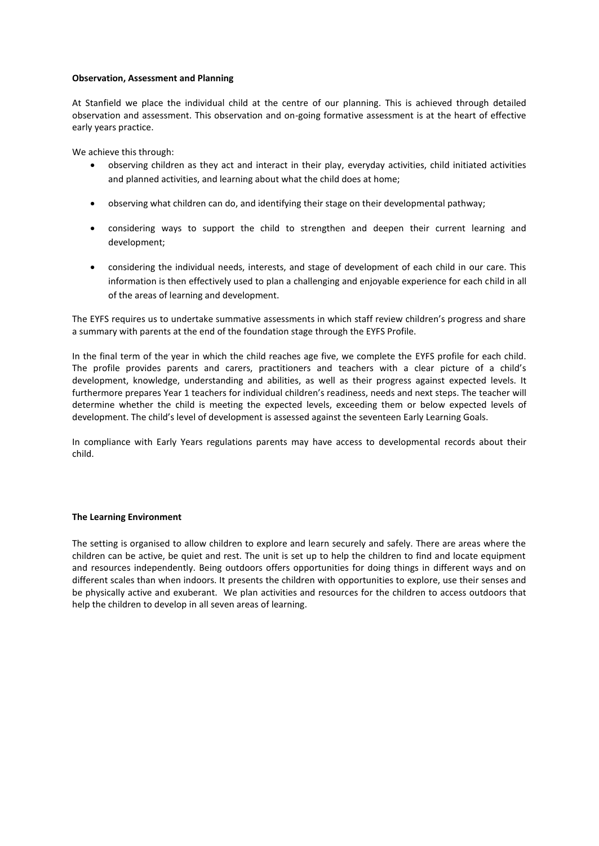#### **Observation, Assessment and Planning**

At Stanfield we place the individual child at the centre of our planning. This is achieved through detailed observation and assessment. This observation and on-going formative assessment is at the heart of effective early years practice.

We achieve this through:

- observing children as they act and interact in their play, everyday activities, child initiated activities and planned activities, and learning about what the child does at home;
- observing what children can do, and identifying their stage on their developmental pathway;
- considering ways to support the child to strengthen and deepen their current learning and development;
- considering the individual needs, interests, and stage of development of each child in our care. This information is then effectively used to plan a challenging and enjoyable experience for each child in all of the areas of learning and development.

The EYFS requires us to undertake summative assessments in which staff review children's progress and share a summary with parents at the end of the foundation stage through the EYFS Profile.

In the final term of the year in which the child reaches age five, we complete the EYFS profile for each child. The profile provides parents and carers, practitioners and teachers with a clear picture of a child's development, knowledge, understanding and abilities, as well as their progress against expected levels. It furthermore prepares Year 1 teachers for individual children's readiness, needs and next steps. The teacher will determine whether the child is meeting the expected levels, exceeding them or below expected levels of development. The child's level of development is assessed against the seventeen Early Learning Goals.

In compliance with Early Years regulations parents may have access to developmental records about their child.

#### **The Learning Environment**

The setting is organised to allow children to explore and learn securely and safely. There are areas where the children can be active, be quiet and rest. The unit is set up to help the children to find and locate equipment and resources independently. Being outdoors offers opportunities for doing things in different ways and on different scales than when indoors. It presents the children with opportunities to explore, use their senses and be physically active and exuberant. We plan activities and resources for the children to access outdoors that help the children to develop in all seven areas of learning.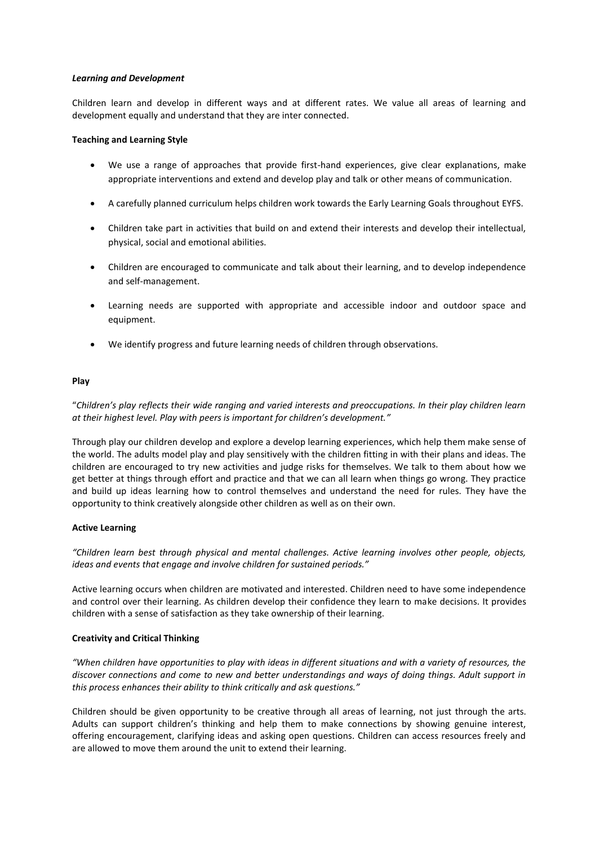#### *Learning and Development*

Children learn and develop in different ways and at different rates. We value all areas of learning and development equally and understand that they are inter connected.

# **Teaching and Learning Style**

- We use a range of approaches that provide first-hand experiences, give clear explanations, make appropriate interventions and extend and develop play and talk or other means of communication.
- A carefully planned curriculum helps children work towards the Early Learning Goals throughout EYFS.
- Children take part in activities that build on and extend their interests and develop their intellectual, physical, social and emotional abilities.
- Children are encouraged to communicate and talk about their learning, and to develop independence and self-management.
- Learning needs are supported with appropriate and accessible indoor and outdoor space and equipment.
- We identify progress and future learning needs of children through observations.

#### **Play**

"*Children's play reflects their wide ranging and varied interests and preoccupations. In their play children learn at their highest level. Play with peers is important for children's development."*

Through play our children develop and explore a develop learning experiences, which help them make sense of the world. The adults model play and play sensitively with the children fitting in with their plans and ideas. The children are encouraged to try new activities and judge risks for themselves. We talk to them about how we get better at things through effort and practice and that we can all learn when things go wrong. They practice and build up ideas learning how to control themselves and understand the need for rules. They have the opportunity to think creatively alongside other children as well as on their own.

# **Active Learning**

*"Children learn best through physical and mental challenges. Active learning involves other people, objects, ideas and events that engage and involve children for sustained periods."* 

Active learning occurs when children are motivated and interested. Children need to have some independence and control over their learning. As children develop their confidence they learn to make decisions. It provides children with a sense of satisfaction as they take ownership of their learning.

#### **Creativity and Critical Thinking**

*"When children have opportunities to play with ideas in different situations and with a variety of resources, the discover connections and come to new and better understandings and ways of doing things. Adult support in this process enhances their ability to think critically and ask questions."* 

Children should be given opportunity to be creative through all areas of learning, not just through the arts. Adults can support children's thinking and help them to make connections by showing genuine interest, offering encouragement, clarifying ideas and asking open questions. Children can access resources freely and are allowed to move them around the unit to extend their learning.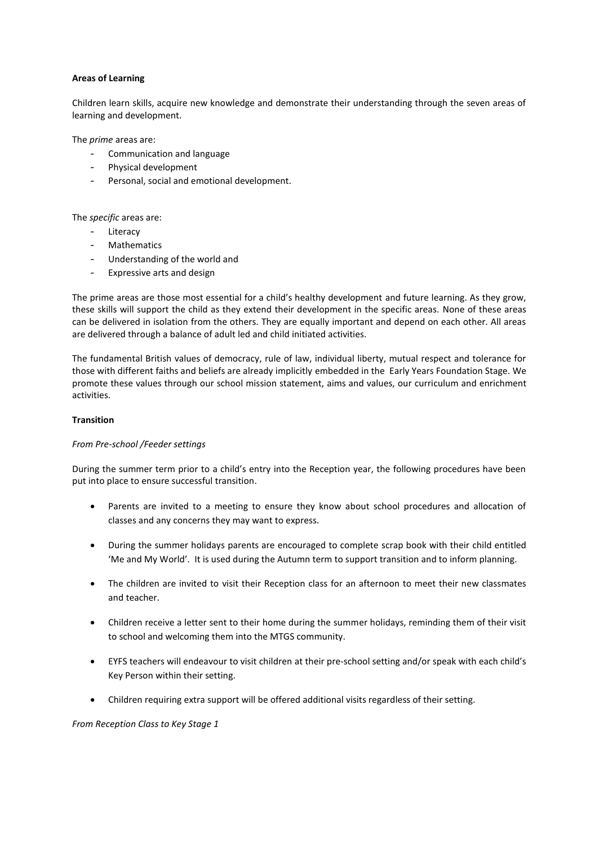# **Areas of Learning**

Children learn skills, acquire new knowledge and demonstrate their understanding through the seven areas of learning and development.

The *prime* areas are:

- Communication and language
- Physical development
- Personal, social and emotional development.

The *specific* areas are:

- Literacy
- Mathematics
- Understanding of the world and
- Expressive arts and design

The prime areas are those most essential for a child's healthy development and future learning. As they grow, these skills will support the child as they extend their development in the specific areas*.* None of these areas can be delivered in isolation from the others. They are equally important and depend on each other. All areas are delivered through a balance of adult led and child initiated activities.

The fundamental British values of democracy, rule of law, individual liberty, mutual respect and tolerance for those with different faiths and beliefs are already implicitly embedded in the Early Years Foundation Stage. We promote these values through our school mission statement, aims and values, our curriculum and enrichment activities.

#### **Transition**

# *From Pre-school /Feeder settings*

During the summer term prior to a child's entry into the Reception year, the following procedures have been put into place to ensure successful transition.

- Parents are invited to a meeting to ensure they know about school procedures and allocation of classes and any concerns they may want to express.
- During the summer holidays parents are encouraged to complete scrap book with their child entitled 'Me and My World'. It is used during the Autumn term to support transition and to inform planning.
- The children are invited to visit their Reception class for an afternoon to meet their new classmates and teacher.
- Children receive a letter sent to their home during the summer holidays, reminding them of their visit to school and welcoming them into the MTGS community.
- EYFS teachers will endeavour to visit children at their pre-school setting and/or speak with each child's Key Person within their setting.
- Children requiring extra support will be offered additional visits regardless of their setting.

*From Reception Class to Key Stage 1*